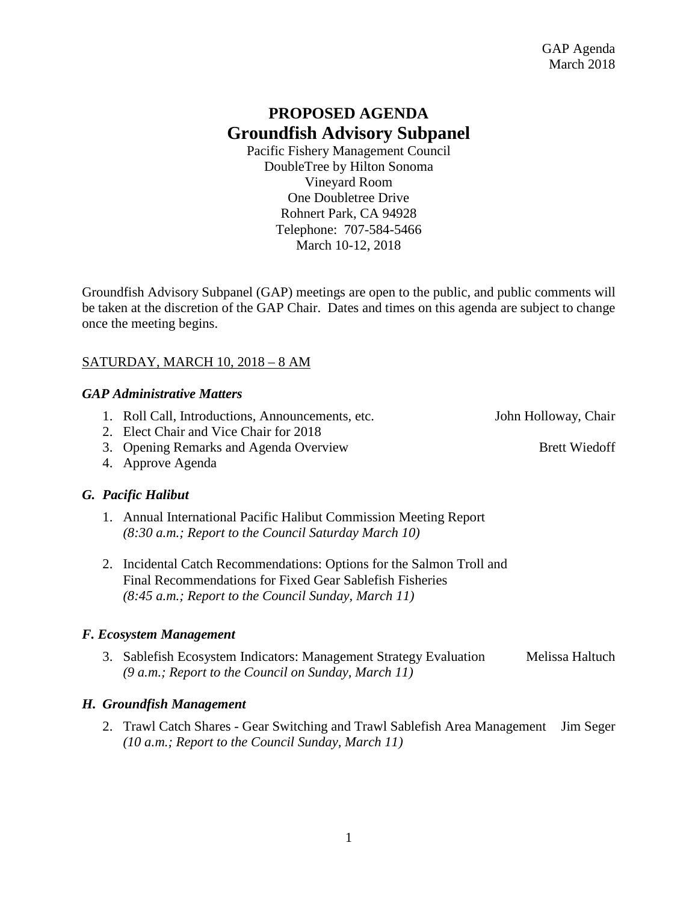## **PROPOSED AGENDA Groundfish Advisory Subpanel**

Pacific Fishery Management Council DoubleTree by Hilton Sonoma Vineyard Room One Doubletree Drive Rohnert Park, CA 94928 Telephone: 707-584-5466 March 10-12, 2018

Groundfish Advisory Subpanel (GAP) meetings are open to the public, and public comments will be taken at the discretion of the GAP Chair. Dates and times on this agenda are subject to change once the meeting begins.

## SATURDAY, MARCH 10, 2018 – 8 AM

### *GAP Administrative Matters*

- 1. Roll Call, Introductions, Announcements, etc. John Holloway, Chair
- 2. Elect Chair and Vice Chair for 2018
- 3. Opening Remarks and Agenda Overview Brett Wiedoff
- 4. Approve Agenda

## *G. Pacific Halibut*

- 1. Annual International Pacific Halibut Commission Meeting Report *(8:30 a.m.; Report to the Council Saturday March 10)*
- 2. Incidental Catch Recommendations: Options for the Salmon Troll and Final Recommendations for Fixed Gear Sablefish Fisheries *(8:45 a.m.; Report to the Council Sunday, March 11)*

## *F. Ecosystem Management*

3. Sablefish Ecosystem Indicators: Management Strategy Evaluation Melissa Haltuch *(9 a.m.; Report to the Council on Sunday, March 11)*

## *H. Groundfish Management*

2. Trawl Catch Shares - Gear Switching and Trawl Sablefish Area Management Jim Seger *(10 a.m.; Report to the Council Sunday, March 11)*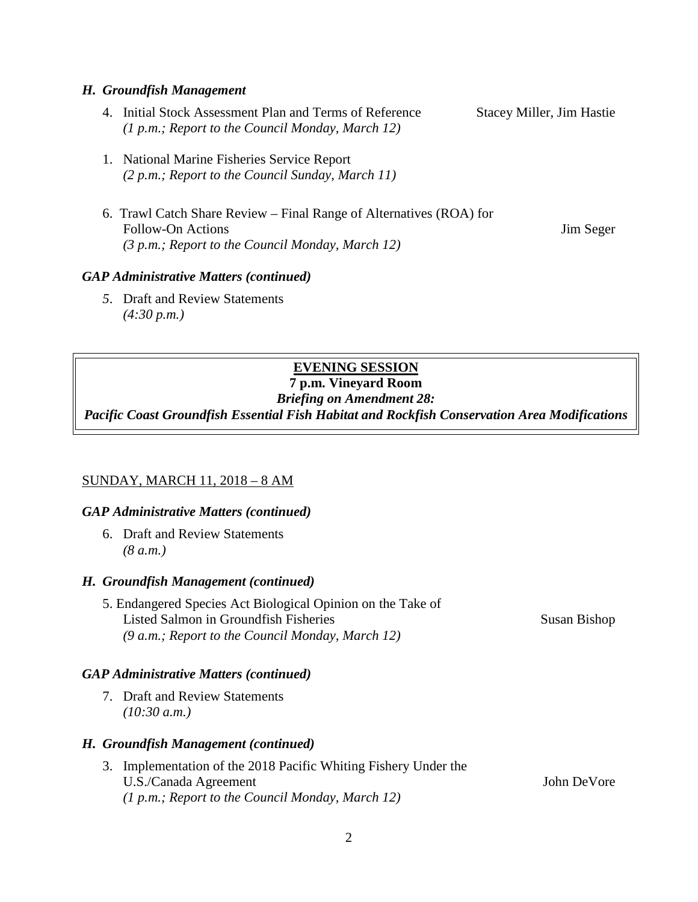#### *H. Groundfish Management*

- 4. Initial Stock Assessment Plan and Terms of Reference Stacey Miller, Jim Hastie *(1 p.m.; Report to the Council Monday, March 12)*
- 1. National Marine Fisheries Service Report *(2 p.m.; Report to the Council Sunday, March 11)*
- 6. Trawl Catch Share Review Final Range of Alternatives (ROA) for Follow-On Actions Jim Seger *(3 p.m.; Report to the Council Monday, March 12)*

#### *GAP Administrative Matters (continued)*

*5*. Draft and Review Statements *(4:30 p.m.)*

## **EVENING SESSION**

# **7 p.m. Vineyard Room**

*Briefing on Amendment 28:*

*Pacific Coast Groundfish Essential Fish Habitat and Rockfish Conservation Area Modifications*

#### SUNDAY, MARCH 11, 2018 – 8 AM

#### *GAP Administrative Matters (continued)*

6. Draft and Review Statements *(8 a.m.)*

#### *H. Groundfish Management (continued)*

5. Endangered Species Act Biological Opinion on the Take of Listed Salmon in Groundfish Fisheries Susan Bishop *(9 a.m.; Report to the Council Monday, March 12)*

#### *GAP Administrative Matters (continued)*

7. Draft and Review Statements *(10:30 a.m.)*

#### *H. Groundfish Management (continued)*

3. Implementation of the 2018 Pacific Whiting Fishery Under the U.S./Canada Agreement John DeVore *(1 p.m.; Report to the Council Monday, March 12)*